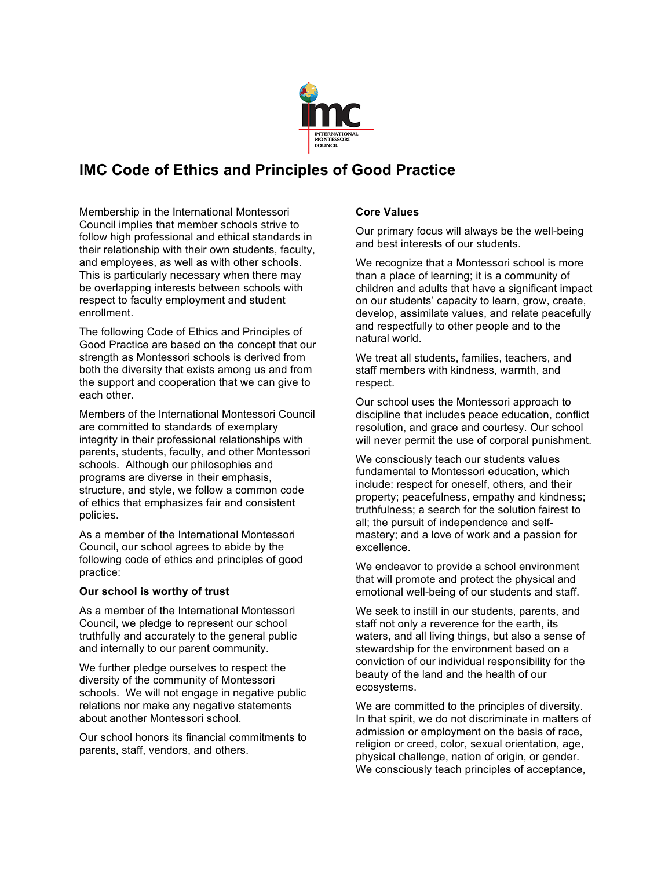

# **IMC Code of Ethics and Principles of Good Practice**

Membership in the International Montessori Council implies that member schools strive to follow high professional and ethical standards in their relationship with their own students, faculty, and employees, as well as with other schools. This is particularly necessary when there may be overlapping interests between schools with respect to faculty employment and student enrollment.

The following Code of Ethics and Principles of Good Practice are based on the concept that our strength as Montessori schools is derived from both the diversity that exists among us and from the support and cooperation that we can give to each other.

Members of the International Montessori Council are committed to standards of exemplary integrity in their professional relationships with parents, students, faculty, and other Montessori schools. Although our philosophies and programs are diverse in their emphasis, structure, and style, we follow a common code of ethics that emphasizes fair and consistent policies.

As a member of the International Montessori Council, our school agrees to abide by the following code of ethics and principles of good practice:

## **Our school is worthy of trust**

As a member of the International Montessori Council, we pledge to represent our school truthfully and accurately to the general public and internally to our parent community.

We further pledge ourselves to respect the diversity of the community of Montessori schools. We will not engage in negative public relations nor make any negative statements about another Montessori school.

Our school honors its financial commitments to parents, staff, vendors, and others.

## **Core Values**

Our primary focus will always be the well-being and best interests of our students.

We recognize that a Montessori school is more than a place of learning; it is a community of children and adults that have a significant impact on our students' capacity to learn, grow, create, develop, assimilate values, and relate peacefully and respectfully to other people and to the natural world.

We treat all students, families, teachers, and staff members with kindness, warmth, and respect.

Our school uses the Montessori approach to discipline that includes peace education, conflict resolution, and grace and courtesy. Our school will never permit the use of corporal punishment.

We consciously teach our students values fundamental to Montessori education, which include: respect for oneself, others, and their property; peacefulness, empathy and kindness; truthfulness; a search for the solution fairest to all; the pursuit of independence and selfmastery; and a love of work and a passion for excellence.

We endeavor to provide a school environment that will promote and protect the physical and emotional well-being of our students and staff.

We seek to instill in our students, parents, and staff not only a reverence for the earth, its waters, and all living things, but also a sense of stewardship for the environment based on a conviction of our individual responsibility for the beauty of the land and the health of our ecosystems.

We are committed to the principles of diversity. In that spirit, we do not discriminate in matters of admission or employment on the basis of race, religion or creed, color, sexual orientation, age, physical challenge, nation of origin, or gender. We consciously teach principles of acceptance,